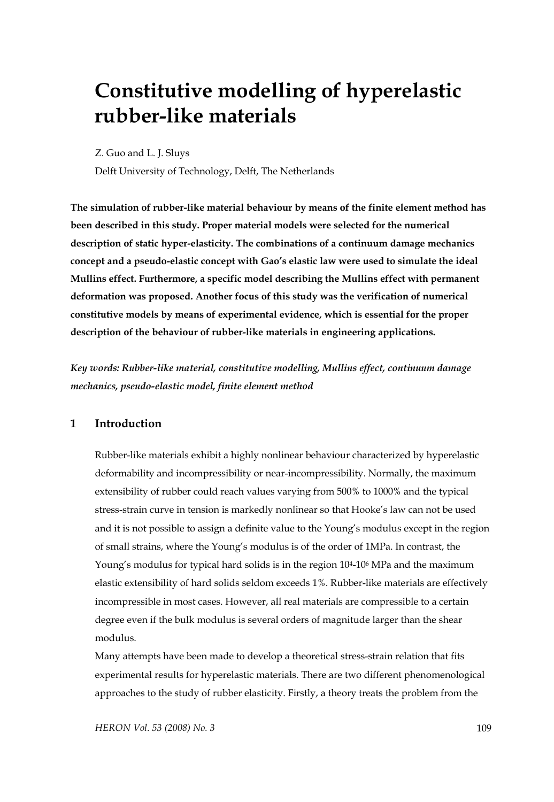# **Constitutive modelling of hyperelastic rubber-like materials**

Z. Guo and L. J. Sluys

Delft University of Technology, Delft, The Netherlands

**The simulation of rubber-like material behaviour by means of the finite element method has been described in this study. Proper material models were selected for the numerical description of static hyper-elasticity. The combinations of a continuum damage mechanics concept and a pseudo-elastic concept with Gao's elastic law were used to simulate the ideal Mullins effect. Furthermore, a specific model describing the Mullins effect with permanent deformation was proposed. Another focus of this study was the verification of numerical constitutive models by means of experimental evidence, which is essential for the proper description of the behaviour of rubber-like materials in engineering applications.** 

*Key words: Rubber-like material, constitutive modelling, Mullins effect, continuum damage mechanics, pseudo-elastic model, finite element method* 

## **1 Introduction**

Rubber-like materials exhibit a highly nonlinear behaviour characterized by hyperelastic deformability and incompressibility or near-incompressibility. Normally, the maximum extensibility of rubber could reach values varying from 500% to 1000% and the typical stress-strain curve in tension is markedly nonlinear so that Hooke's law can not be used and it is not possible to assign a definite value to the Young's modulus except in the region of small strains, where the Young's modulus is of the order of 1MPa. In contrast, the Young's modulus for typical hard solids is in the region 104-106 MPa and the maximum elastic extensibility of hard solids seldom exceeds 1%. Rubber-like materials are effectively incompressible in most cases. However, all real materials are compressible to a certain degree even if the bulk modulus is several orders of magnitude larger than the shear modulus.

Many attempts have been made to develop a theoretical stress-strain relation that fits experimental results for hyperelastic materials. There are two different phenomenological approaches to the study of rubber elasticity. Firstly, a theory treats the problem from the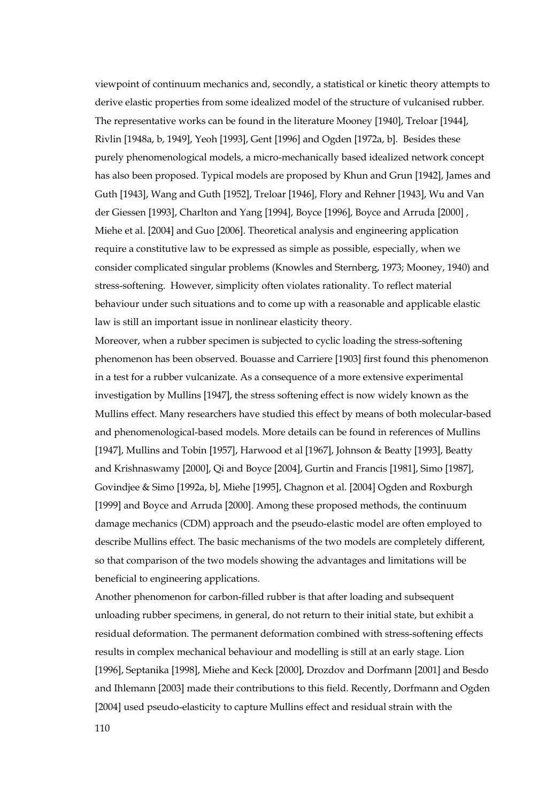viewpoint of continuum mechanics and, secondly, a statistical or kinetic theory attempts to derive elastic properties from some idealized model of the structure of vulcanised rubber. The representative works can be found in the literature Mooney [1940], Treloar [1944], Rivlin [1948a, b, 1949], Yeoh [1993], Gent [1996] and Ogden [1972a, b]. Besides these purely phenomenological models, a micro-mechanically based idealized network concept has also been proposed. Typical models are proposed by Khun and Grun [1942], James and Guth [1943], Wang and Guth [1952], Treloar [1946], Flory and Rehner [1943], Wu and Van der Giessen [1993], Charlton and Yang [1994], Boyce [1996], Boyce and Arruda [2000] , Miehe et al. [2004] and Guo [2006]. Theoretical analysis and engineering application require a constitutive law to be expressed as simple as possible, especially, when we consider complicated singular problems (Knowles and Sternberg, 1973; Mooney, 1940) and stress-softening. However, simplicity often violates rationality. To reflect material behaviour under such situations and to come up with a reasonable and applicable elastic law is still an important issue in nonlinear elasticity theory.

Moreover, when a rubber specimen is subjected to cyclic loading the stress-softening phenomenon has been observed. Bouasse and Carriere [1903] first found this phenomenon in a test for a rubber vulcanizate. As a consequence of a more extensive experimental investigation by Mullins [1947], the stress softening effect is now widely known as the Mullins effect. Many researchers have studied this effect by means of both molecular-based and phenomenological-based models. More details can be found in references of Mullins [1947], Mullins and Tobin [1957], Harwood et al [1967], Johnson & Beatty [1993], Beatty and Krishnaswamy [2000], Qi and Boyce [2004], Gurtin and Francis [1981], Simo [1987], Govindjee & Simo [1992a, b], Miehe [1995], Chagnon et al. [2004] Ogden and Roxburgh [1999] and Boyce and Arruda [2000]. Among these proposed methods, the continuum damage mechanics (CDM) approach and the pseudo-elastic model are often employed to describe Mullins effect. The basic mechanisms of the two models are completely different, so that comparison of the two models showing the advantages and limitations will be beneficial to engineering applications.

Another phenomenon for carbon-filled rubber is that after loading and subsequent unloading rubber specimens, in general, do not return to their initial state, but exhibit a residual deformation. The permanent deformation combined with stress-softening effects results in complex mechanical behaviour and modelling is still at an early stage. Lion [1996], Septanika [1998], Miehe and Keck [2000], Drozdov and Dorfmann [2001] and Besdo and Ihlemann [2003] made their contributions to this field. Recently, Dorfmann and Ogden [2004] used pseudo-elasticity to capture Mullins effect and residual strain with the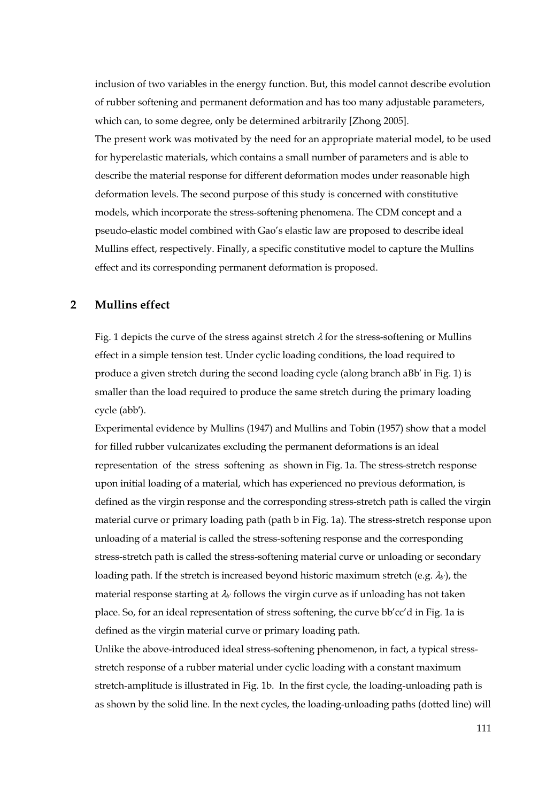inclusion of two variables in the energy function. But, this model cannot describe evolution of rubber softening and permanent deformation and has too many adjustable parameters, which can, to some degree, only be determined arbitrarily [Zhong 2005]. The present work was motivated by the need for an appropriate material model, to be used for hyperelastic materials, which contains a small number of parameters and is able to describe the material response for different deformation modes under reasonable high deformation levels. The second purpose of this study is concerned with constitutive models, which incorporate the stress-softening phenomena. The CDM concept and a pseudo-elastic model combined with Gao's elastic law are proposed to describe ideal Mullins effect, respectively. Finally, a specific constitutive model to capture the Mullins effect and its corresponding permanent deformation is proposed.

## **2 Mullins effect**

Fig. 1 depicts the curve of the stress against stretch  $\lambda$  for the stress-softening or Mullins effect in a simple tension test. Under cyclic loading conditions, the load required to produce a given stretch during the second loading cycle (along branch aBb′ in Fig. 1) is smaller than the load required to produce the same stretch during the primary loading cycle (abb′).

Experimental evidence by Mullins (1947) and Mullins and Tobin (1957) show that a model for filled rubber vulcanizates excluding the permanent deformations is an ideal representation of the stress softening as shown in Fig. 1a. The stress-stretch response upon initial loading of a material, which has experienced no previous deformation, is defined as the virgin response and the corresponding stress-stretch path is called the virgin material curve or primary loading path (path b in Fig. 1a). The stress-stretch response upon unloading of a material is called the stress-softening response and the corresponding stress-stretch path is called the stress-softening material curve or unloading or secondary loading path. If the stretch is increased beyond historic maximum stretch (e.g. λ*b'*), the material response starting at λ*b'* follows the virgin curve as if unloading has not taken place. So, for an ideal representation of stress softening, the curve bb'cc'd in Fig. 1a is defined as the virgin material curve or primary loading path.

Unlike the above-introduced ideal stress-softening phenomenon, in fact, a typical stressstretch response of a rubber material under cyclic loading with a constant maximum stretch-amplitude is illustrated in Fig. 1b. In the first cycle, the loading-unloading path is as shown by the solid line. In the next cycles, the loading-unloading paths (dotted line) will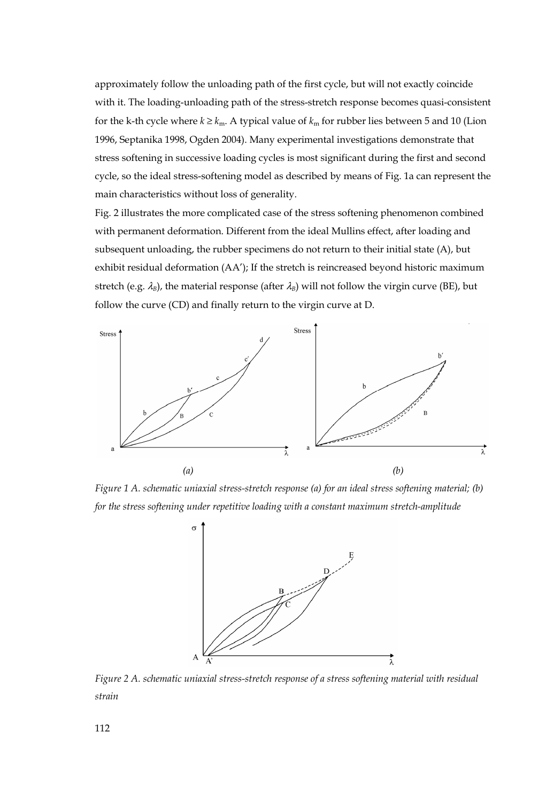approximately follow the unloading path of the first cycle, but will not exactly coincide with it. The loading-unloading path of the stress-stretch response becomes quasi-consistent for the k-th cycle where  $k \geq k_m$ . A typical value of  $k_m$  for rubber lies between 5 and 10 (Lion 1996, Septanika 1998, Ogden 2004). Many experimental investigations demonstrate that stress softening in successive loading cycles is most significant during the first and second cycle, so the ideal stress-softening model as described by means of Fig. 1a can represent the main characteristics without loss of generality.

Fig. 2 illustrates the more complicated case of the stress softening phenomenon combined with permanent deformation. Different from the ideal Mullins effect, after loading and subsequent unloading, the rubber specimens do not return to their initial state (A), but exhibit residual deformation (AA'); If the stretch is reincreased beyond historic maximum stretch (e.g.  $\lambda_B$ ), the material response (after  $\lambda_B$ ) will not follow the virgin curve (BE), but follow the curve (CD) and finally return to the virgin curve at D.



*Figure 1 A. schematic uniaxial stress-stretch response (a) for an ideal stress softening material; (b) for the stress softening under repetitive loading with a constant maximum stretch-amplitude* 



*Figure 2 A. schematic uniaxial stress-stretch response of a stress softening material with residual strain*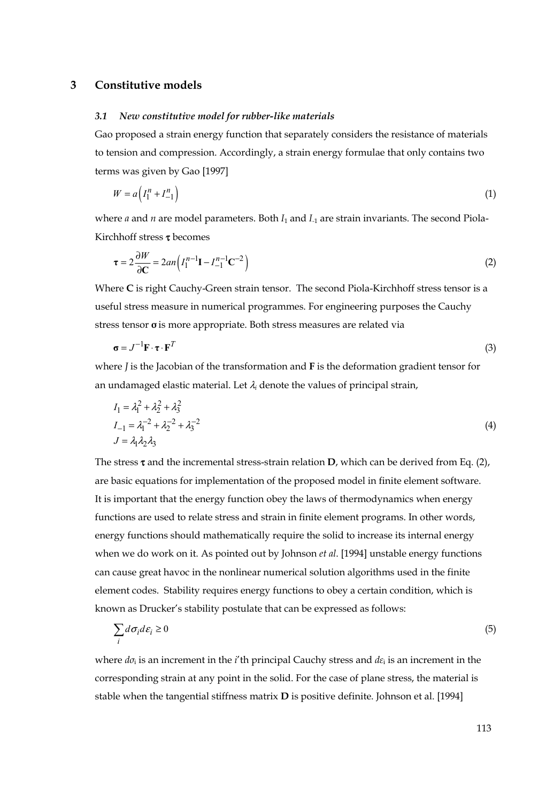### **3 Constitutive models**

#### *3.1 New constitutive model for rubber-like materials*

Gao proposed a strain energy function that separately considers the resistance of materials to tension and compression. Accordingly, a strain energy formulae that only contains two terms was given by Gao [1997]

$$
W = a \left( I_1^n + I_{-1}^n \right) \tag{1}
$$

where *a* and *n* are model parameters. Both *I*<sub>1</sub> and *I*<sub>-1</sub> are strain invariants. The second Piola-Kirchhoff stress τ becomes

$$
\tau = 2\frac{\partial W}{\partial C} = 2an\left(I_1^{n-1}\mathbf{I} - I_{-1}^{n-1}\mathbf{C}^{-2}\right)
$$
\n(2)

Where **C** is right Cauchy-Green strain tensor. The second Piola-Kirchhoff stress tensor is a useful stress measure in numerical programmes. For engineering purposes the Cauchy stress tensor **σ** is more appropriate. Both stress measures are related via

$$
\boldsymbol{\sigma} = J^{-1} \mathbf{F} \cdot \boldsymbol{\tau} \cdot \mathbf{F}^T \tag{3}
$$

where *J* is the Jacobian of the transformation and **F** is the deformation gradient tensor for an undamaged elastic material. Let  $\lambda_i$  denote the values of principal strain,

$$
I_1 = \lambda_1^2 + \lambda_2^2 + \lambda_3^2
$$
  
\n
$$
I_{-1} = \lambda_1^{-2} + \lambda_2^{-2} + \lambda_3^{-2}
$$
  
\n
$$
J = \lambda_1 \lambda_2 \lambda_3
$$
\n(4)

The stress  $\tau$  and the incremental stress-strain relation **D**, which can be derived from Eq. (2), are basic equations for implementation of the proposed model in finite element software. It is important that the energy function obey the laws of thermodynamics when energy functions are used to relate stress and strain in finite element programs. In other words, energy functions should mathematically require the solid to increase its internal energy when we do work on it. As pointed out by Johnson *et al*. [1994] unstable energy functions can cause great havoc in the nonlinear numerical solution algorithms used in the finite element codes. Stability requires energy functions to obey a certain condition, which is known as Drucker's stability postulate that can be expressed as follows:

$$
\sum_{i} d\sigma_{i} d\varepsilon_{i} \ge 0
$$
\n<sup>(5)</sup>

where *dσ*i is an increment in the *i*'th principal Cauchy stress and *dε*i is an increment in the corresponding strain at any point in the solid. For the case of plane stress, the material is stable when the tangential stiffness matrix **D** is positive definite. Johnson et al. [1994]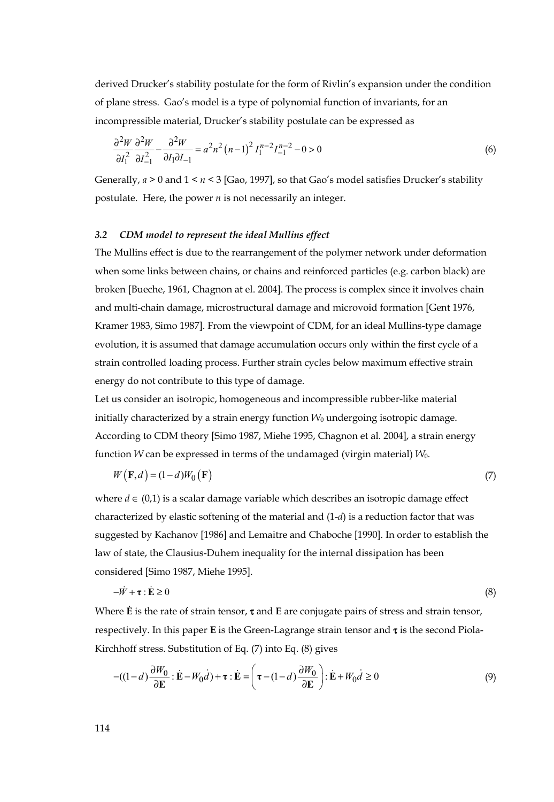derived Drucker's stability postulate for the form of Rivlin's expansion under the condition of plane stress. Gao's model is a type of polynomial function of invariants, for an incompressible material, Drucker's stability postulate can be expressed as

$$
\frac{\partial^2 W}{\partial I_1^2} \frac{\partial^2 W}{\partial I_{-1}^2} - \frac{\partial^2 W}{\partial I_1 \partial I_{-1}} = a^2 n^2 (n-1)^2 I_1^{n-2} I_{-1}^{n-2} - 0 > 0
$$
\n<sup>(6)</sup>

Generally, *a* > 0 and 1 < *n <* 3 [Gao, 1997], so that Gao's model satisfies Drucker's stability postulate. Here, the power *n* is not necessarily an integer.

#### *3.2 CDM model to represent the ideal Mullins effect*

The Mullins effect is due to the rearrangement of the polymer network under deformation when some links between chains, or chains and reinforced particles (e.g. carbon black) are broken [Bueche, 1961, Chagnon at el. 2004]. The process is complex since it involves chain and multi-chain damage, microstructural damage and microvoid formation [Gent 1976, Kramer 1983, Simo 1987]. From the viewpoint of CDM, for an ideal Mullins-type damage evolution, it is assumed that damage accumulation occurs only within the first cycle of a strain controlled loading process. Further strain cycles below maximum effective strain energy do not contribute to this type of damage.

Let us consider an isotropic, homogeneous and incompressible rubber-like material initially characterized by a strain energy function  $W_0$  undergoing isotropic damage. According to CDM theory [Simo 1987, Miehe 1995, Chagnon et al. 2004], a strain energy function *W* can be expressed in terms of the undamaged (virgin material) *W*0.

$$
W(\mathbf{F},d) = (1-d)W_0(\mathbf{F})
$$
\n<sup>(7)</sup>

where  $d \in (0,1)$  is a scalar damage variable which describes an isotropic damage effect characterized by elastic softening of the material and (1-*d*) is a reduction factor that was suggested by Kachanov [1986] and Lemaitre and Chaboche [1990]. In order to establish the law of state, the Clausius-Duhem inequality for the internal dissipation has been considered [Simo 1987, Miehe 1995].

$$
-\dot{W} + \tau : \dot{\mathbf{E}} \ge 0 \tag{8}
$$

Where **Ė** is the rate of strain tensor, τ and **E** are conjugate pairs of stress and strain tensor, respectively. In this paper **E** is the Green-Lagrange strain tensor and τ is the second Piola-Kirchhoff stress. Substitution of Eq. (7) into Eq. (8) gives

$$
-( (1-d)\frac{\partial W_0}{\partial \mathbf{E}} : \dot{\mathbf{E}} - W_0 \dot{d}) + \boldsymbol{\tau} : \dot{\mathbf{E}} = \left( \boldsymbol{\tau} - (1-d)\frac{\partial W_0}{\partial \mathbf{E}} \right) : \dot{\mathbf{E}} + W_0 \dot{d} \ge 0
$$
\n(9)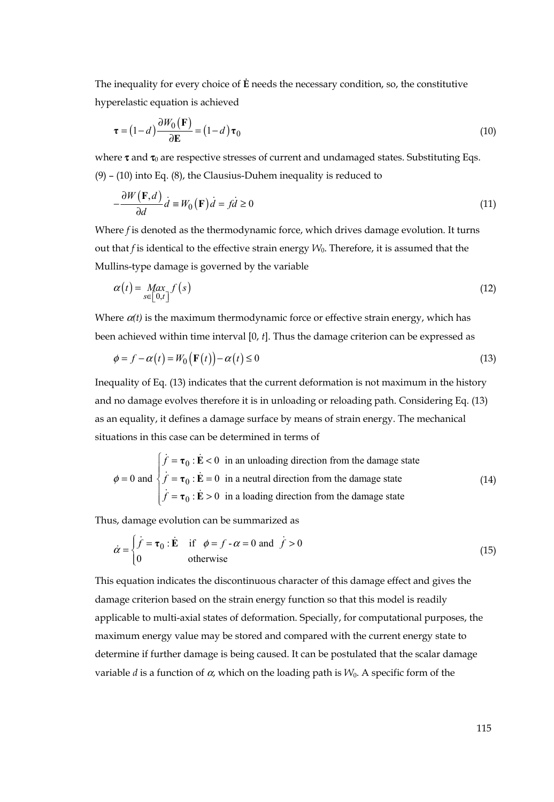The inequality for every choice of **Ė** needs the necessary condition, so, the constitutive hyperelastic equation is achieved

$$
\boldsymbol{\tau} = (1 - d) \frac{\partial W_0(\mathbf{F})}{\partial \mathbf{E}} = (1 - d) \boldsymbol{\tau}_0
$$
\n(10)

where  $\tau$  and  $\tau_0$  are respective stresses of current and undamaged states. Substituting Eqs. (9) – (10) into Eq. (8), the Clausius-Duhem inequality is reduced to

$$
-\frac{\partial W(\mathbf{F},d)}{\partial d}\dot{d} \equiv W_0(\mathbf{F})\dot{d} = f\dot{d} \ge 0
$$
\n(11)

Where *f* is denoted as the thermodynamic force, which drives damage evolution. It turns out that *f* is identical to the effective strain energy *W*0. Therefore, it is assumed that the Mullins-type damage is governed by the variable

$$
\alpha(t) = \max_{s \in [0,t]} f(s) \tag{12}
$$

Where  $\alpha(t)$  is the maximum thermodynamic force or effective strain energy, which has been achieved within time interval [0, *t*]. Thus the damage criterion can be expressed as

$$
\phi = f - \alpha(t) = W_0(\mathbf{F}(t)) - \alpha(t) \le 0
$$
\n(13)

Inequality of Eq. (13) indicates that the current deformation is not maximum in the history and no damage evolves therefore it is in unloading or reloading path. Considering Eq. (13) as an equality, it defines a damage surface by means of strain energy. The mechanical situations in this case can be determined in terms of

$$
\phi = 0 \text{ and } \begin{cases} \n\dot{f} = \tau_0 : \dot{E} < 0 \text{ in an unloading direction from the damage state} \\ \n\dot{f} = \tau_0 : \dot{E} = 0 \text{ in a neutral direction from the damage state} \\ \n\dot{f} = \tau_0 : \dot{E} > 0 \text{ in a loading direction from the damage state} \n\end{cases} \tag{14}
$$

Thus, damage evolution can be summarized as

$$
\dot{\alpha} = \begin{cases} \dot{f} = \tau_0 : \dot{E} & \text{if } \phi = f - \alpha = 0 \text{ and } \dot{f} > 0 \\ 0 & \text{otherwise} \end{cases}
$$
(15)

This equation indicates the discontinuous character of this damage effect and gives the damage criterion based on the strain energy function so that this model is readily applicable to multi-axial states of deformation. Specially, for computational purposes, the maximum energy value may be stored and compared with the current energy state to determine if further damage is being caused. It can be postulated that the scalar damage variable *d* is a function of  $\alpha$ , which on the loading path is  $W_0$ . A specific form of the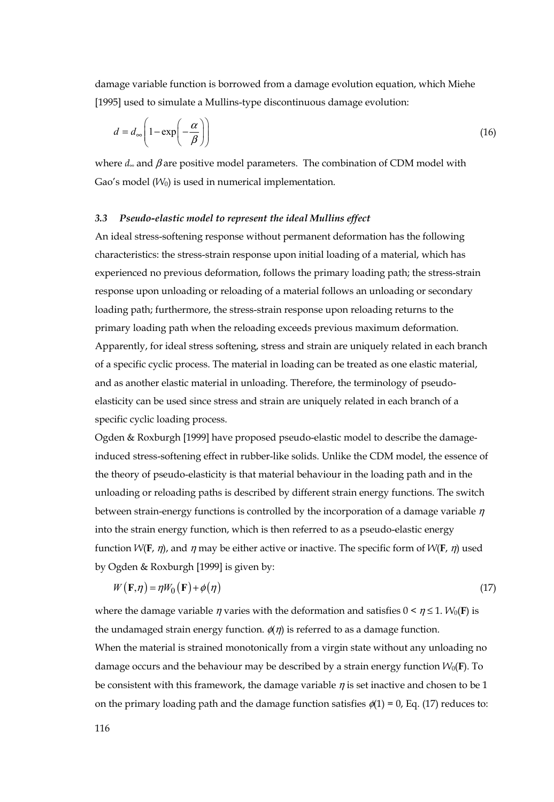damage variable function is borrowed from a damage evolution equation, which Miehe [1995] used to simulate a Mullins-type discontinuous damage evolution:

$$
d = d_{\infty} \left( 1 - \exp\left(-\frac{\alpha}{\beta}\right) \right) \tag{16}
$$

where *d*∞ and β are positive model parameters. The combination of CDM model with Gao's model  $(W_0)$  is used in numerical implementation.

#### *3.3 Pseudo-elastic model to represent the ideal Mullins effect*

An ideal stress-softening response without permanent deformation has the following characteristics: the stress-strain response upon initial loading of a material, which has experienced no previous deformation, follows the primary loading path; the stress-strain response upon unloading or reloading of a material follows an unloading or secondary loading path; furthermore, the stress-strain response upon reloading returns to the primary loading path when the reloading exceeds previous maximum deformation. Apparently, for ideal stress softening, stress and strain are uniquely related in each branch of a specific cyclic process. The material in loading can be treated as one elastic material, and as another elastic material in unloading. Therefore, the terminology of pseudoelasticity can be used since stress and strain are uniquely related in each branch of a specific cyclic loading process.

Ogden & Roxburgh [1999] have proposed pseudo-elastic model to describe the damageinduced stress-softening effect in rubber-like solids. Unlike the CDM model, the essence of the theory of pseudo-elasticity is that material behaviour in the loading path and in the unloading or reloading paths is described by different strain energy functions. The switch between strain-energy functions is controlled by the incorporation of a damage variable  $\eta$ into the strain energy function, which is then referred to as a pseudo-elastic energy function  $W(\mathbf{F}, \eta)$ , and  $\eta$  may be either active or inactive. The specific form of  $W(\mathbf{F}, \eta)$  used by Ogden & Roxburgh [1999] is given by:

$$
W(\mathbf{F}, \eta) = \eta W_0(\mathbf{F}) + \phi(\eta) \tag{17}
$$

where the damage variable  $\eta$  varies with the deformation and satisfies  $0 \le \eta \le 1$ .  $W_0(\mathbf{F})$  is the undamaged strain energy function.  $\phi(\eta)$  is referred to as a damage function. When the material is strained monotonically from a virgin state without any unloading no damage occurs and the behaviour may be described by a strain energy function  $W_0(\mathbf{F})$ . To be consistent with this framework, the damage variable  $\eta$  is set inactive and chosen to be 1 on the primary loading path and the damage function satisfies  $\phi(1) = 0$ , Eq. (17) reduces to: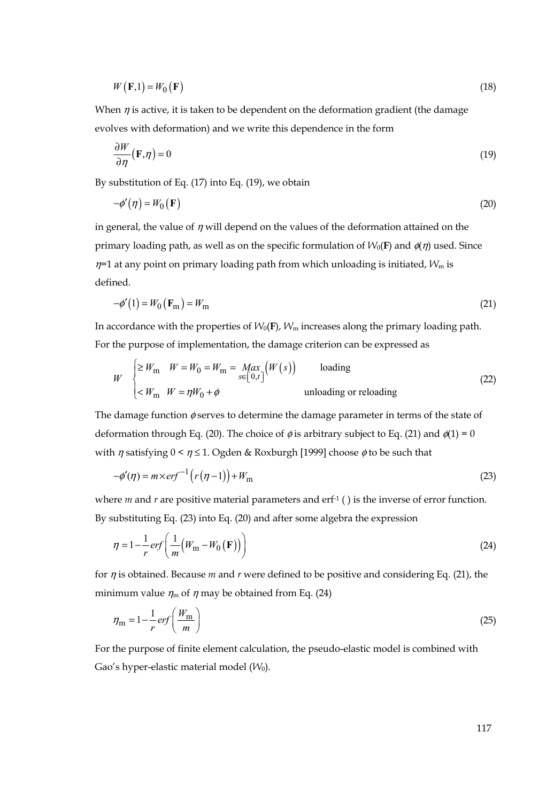$$
W(\mathbf{F},1) = W_0(\mathbf{F})
$$
\n<sup>(18)</sup>

When  $\eta$  is active, it is taken to be dependent on the deformation gradient (the damage evolves with deformation) and we write this dependence in the form

$$
\frac{\partial W}{\partial \eta}(\mathbf{F}, \eta) = 0 \tag{19}
$$

By substitution of Eq. (17) into Eq. (19), we obtain

$$
-\phi'(\eta) = W_0(\mathbf{F})\tag{20}
$$

in general, the value of  $\eta$  will depend on the values of the deformation attained on the primary loading path, as well as on the specific formulation of  $W_0(\mathbf{F})$  and  $\phi(\eta)$  used. Since  $\eta$ =1 at any point on primary loading path from which unloading is initiated,  $W_m$  is defined.

$$
-\phi'(1) = W_0(\mathbf{F}_m) = W_m \tag{21}
$$

In accordance with the properties of  $W_0$ (**F**),  $W_m$  increases along the primary loading path. For the purpose of implementation, the damage criterion can be expressed as

$$
W \begin{cases} \geq W_{\text{m}} & W = W_0 = W_{\text{m}} = \text{Max}_{s \in [0, t]} \big( W(s) \big) & \text{loading} \\ & & \\ & & \\ & & \text{unloading or reloading} \end{cases}
$$
(22)

The damage function  $\phi$  serves to determine the damage parameter in terms of the state of deformation through Eq. (20). The choice of  $\phi$  is arbitrary subject to Eq. (21) and  $\phi(1) = 0$ with  $\eta$  satisfying  $0 \le \eta \le 1$ . Ogden & Roxburgh [1999] choose  $\phi$  to be such that

$$
-\phi'(\eta) = m \times erf^{-1}\left(r\left(\eta - 1\right)\right) + W_{\text{m}}
$$
\n(23)

where *m* and *r* are positive material parameters and erf<sup>-1</sup> () is the inverse of error function. By substituting Eq. (23) into Eq. (20) and after some algebra the expression

$$
\eta = 1 - \frac{1}{r} erf\left(\frac{1}{m}(W_{\rm m} - W_0(\mathbf{F}))\right)
$$
\n(24)

for η is obtained. Because *m* and *r* were defined to be positive and considering Eq. (21), the minimum value  $\eta_m$  of  $\eta$  may be obtained from Eq. (24)

$$
\eta_{\rm m} = 1 - \frac{1}{r} erf \left( \frac{W_{\rm m}}{m} \right) \tag{25}
$$

For the purpose of finite element calculation, the pseudo-elastic model is combined with Gao's hyper-elastic material model ( $W_0$ ).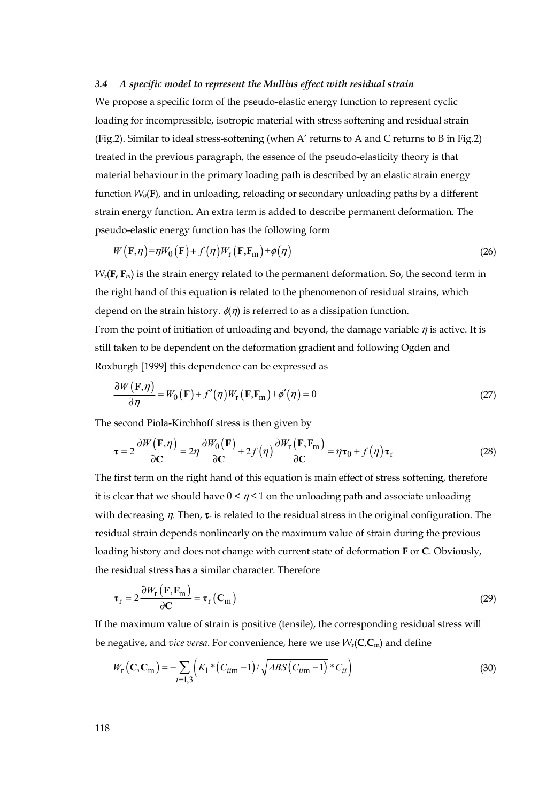## *3.4 A specific model to represent the Mullins effect with residual strain*

We propose a specific form of the pseudo-elastic energy function to represent cyclic loading for incompressible, isotropic material with stress softening and residual strain (Fig.2). Similar to ideal stress-softening (when A' returns to A and C returns to B in Fig.2) treated in the previous paragraph, the essence of the pseudo-elasticity theory is that material behaviour in the primary loading path is described by an elastic strain energy function *W0*(**F**), and in unloading, reloading or secondary unloading paths by a different strain energy function. An extra term is added to describe permanent deformation. The pseudo-elastic energy function has the following form

$$
W(\mathbf{F}, \eta) = \eta W_0(\mathbf{F}) + f(\eta)W_{\mathbf{r}}(\mathbf{F}, \mathbf{F}_{\mathbf{m}}) + \phi(\eta)
$$
\n(26)

*W*r(**F, F***m*) is the strain energy related to the permanent deformation. So, the second term in the right hand of this equation is related to the phenomenon of residual strains, which depend on the strain history.  $\phi(\eta)$  is referred to as a dissipation function. From the point of initiation of unloading and beyond, the damage variable  $\eta$  is active. It is still taken to be dependent on the deformation gradient and following Ogden and Roxburgh [1999] this dependence can be expressed as

$$
\frac{\partial W(\mathbf{F}, \eta)}{\partial \eta} = W_0(\mathbf{F}) + f'(\eta)W_\text{r}(\mathbf{F}, \mathbf{F}_\text{m}) + \phi'(\eta) = 0 \tag{27}
$$

The second Piola-Kirchhoff stress is then given by

$$
\tau = 2 \frac{\partial W(\mathbf{F}, \eta)}{\partial \mathbf{C}} = 2\eta \frac{\partial W_0(\mathbf{F})}{\partial \mathbf{C}} + 2f(\eta) \frac{\partial W_r(\mathbf{F}, \mathbf{F}_m)}{\partial \mathbf{C}} = \eta \tau_0 + f(\eta) \tau_r
$$
 (28)

The first term on the right hand of this equation is main effect of stress softening, therefore it is clear that we should have  $0 \le \eta \le 1$  on the unloading path and associate unloading with decreasing  $\eta$ . Then,  $\tau_r$  is related to the residual stress in the original configuration. The residual strain depends nonlinearly on the maximum value of strain during the previous loading history and does not change with current state of deformation **F** or **C**. Obviously, the residual stress has a similar character. Therefore

$$
\tau_{\rm r} = 2 \frac{\partial W_{\rm r}(\mathbf{F}, \mathbf{F}_{\rm m})}{\partial \mathbf{C}} = \tau_{\rm r}(\mathbf{C}_{\rm m})
$$
(29)

If the maximum value of strain is positive (tensile), the corresponding residual stress will be negative, and *vice versa*. For convenience, here we use *W*r(**C**,**C**m) and define

$$
W_{\rm r}(\mathbf{C}, \mathbf{C}_{\rm m}) = -\sum_{i=1,3} \left( K_1 * (C_{i i \rm m} - 1) / \sqrt{ABS(C_{i i \rm m} - 1)} * C_{i i} \right)
$$
(30)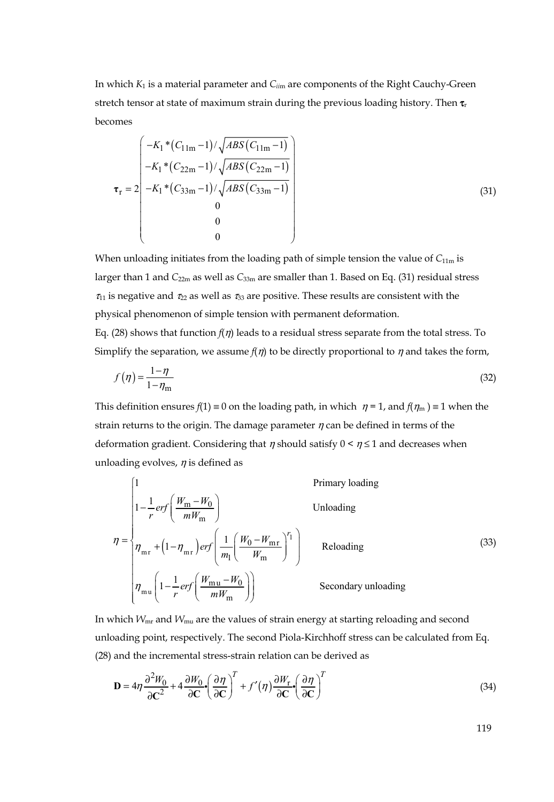In which *K*1 is a material parameter and *Cii*m are components of the Right Cauchy-Green stretch tensor at state of maximum strain during the previous loading history. Then  $\tau_r$ becomes

$$
\tau_{\rm r} = 2 \begin{pmatrix} -K_1 * (C_{11m} - 1) / \sqrt{ABS(C_{11m} - 1)} \\ -K_1 * (C_{22m} - 1) / \sqrt{ABS(C_{22m} - 1)} \\ -K_1 * (C_{33m} - 1) / \sqrt{ABS(C_{33m} - 1)} \\ 0 \\ 0 \\ 0 \end{pmatrix}
$$
(31)

When unloading initiates from the loading path of simple tension the value of  $C_{11m}$  is larger than 1 and *C*22m as well as *C*33m are smaller than 1. Based on Eq. (31) residual stress  $\tau_{11}$  is negative and  $\tau_{22}$  as well as  $\tau_{33}$  are positive. These results are consistent with the physical phenomenon of simple tension with permanent deformation. Eq. (28) shows that function *f*(η) leads to a residual stress separate from the total stress. To Simplify the separation, we assume  $f(\eta)$  to be directly proportional to  $\eta$  and takes the form,

$$
f(\eta) = \frac{1 - \eta}{1 - \eta_{\text{m}}}
$$
\n<sup>(32)</sup>

This definition ensures  $f(1) \equiv 0$  on the loading path, in which  $\eta = 1$ , and  $f(\eta_m) \equiv 1$  when the strain returns to the origin. The damage parameter  $\eta$  can be defined in terms of the deformation gradient. Considering that  $\eta$  should satisfy  $0 \leq \eta \leq 1$  and decreases when unloading evolves,  $\eta$  is defined as

$$
\eta = \begin{cases}\n1 & \text{Primary loading} \\
1 - \frac{1}{r} erf\left(\frac{W_m - W_0}{mW_m}\right) & \text{Unloading} \\
\eta_{mr} + \left(1 - \eta_{mr}\right) erf\left(\frac{1}{m_l}\left(\frac{W_0 - W_{mr}}{W_m}\right)^{r_1}\right) & \text{Reloading} \\
\eta_{mu}\left(1 - \frac{1}{r} erf\left(\frac{W_{mu} - W_0}{mW_m}\right)\right) & \text{Secondary unloading}\n\end{cases}
$$
\n(33)

In which *W*mr and *W*mu are the values of strain energy at starting reloading and second unloading point, respectively. The second Piola-Kirchhoff stress can be calculated from Eq. (28) and the incremental stress-strain relation can be derived as

$$
\mathbf{D} = 4\eta \frac{\partial^2 W_0}{\partial C^2} + 4 \frac{\partial W_0}{\partial C} \left( \frac{\partial \eta}{\partial C} \right)^T + f'(\eta) \frac{\partial W_r}{\partial C} \left( \frac{\partial \eta}{\partial C} \right)^T
$$
(34)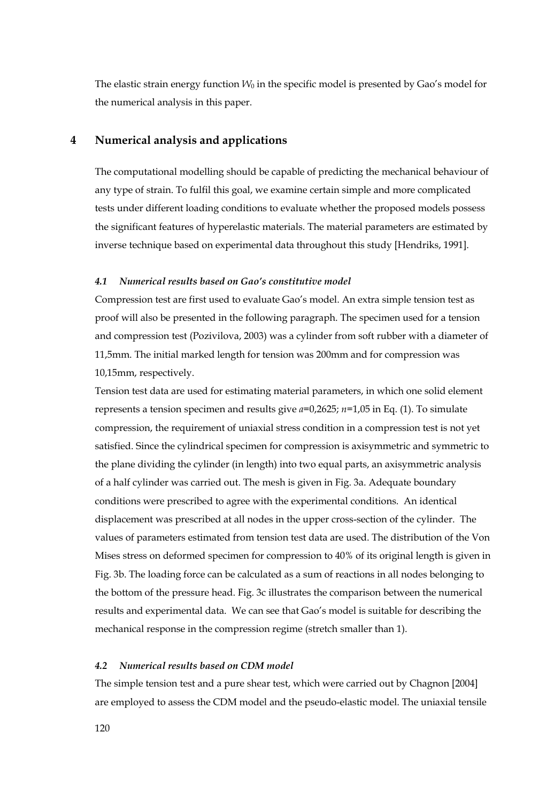The elastic strain energy function  $W_0$  in the specific model is presented by Gao's model for the numerical analysis in this paper.

# **4 Numerical analysis and applications**

The computational modelling should be capable of predicting the mechanical behaviour of any type of strain. To fulfil this goal, we examine certain simple and more complicated tests under different loading conditions to evaluate whether the proposed models possess the significant features of hyperelastic materials. The material parameters are estimated by inverse technique based on experimental data throughout this study [Hendriks, 1991].

#### *4.1 Numerical results based on Gao's constitutive model*

Compression test are first used to evaluate Gao's model. An extra simple tension test as proof will also be presented in the following paragraph. The specimen used for a tension and compression test (Pozivilova, 2003) was a cylinder from soft rubber with a diameter of 11,5mm. The initial marked length for tension was 200mm and for compression was 10,15mm, respectively.

Tension test data are used for estimating material parameters, in which one solid element represents a tension specimen and results give *a*=0,2625; *n*=1,05 in Eq. (1). To simulate compression, the requirement of uniaxial stress condition in a compression test is not yet satisfied. Since the cylindrical specimen for compression is axisymmetric and symmetric to the plane dividing the cylinder (in length) into two equal parts, an axisymmetric analysis of a half cylinder was carried out. The mesh is given in Fig. 3a. Adequate boundary conditions were prescribed to agree with the experimental conditions. An identical displacement was prescribed at all nodes in the upper cross-section of the cylinder. The values of parameters estimated from tension test data are used. The distribution of the Von Mises stress on deformed specimen for compression to 40% of its original length is given in Fig. 3b. The loading force can be calculated as a sum of reactions in all nodes belonging to the bottom of the pressure head. Fig. 3c illustrates the comparison between the numerical results and experimental data. We can see that Gao's model is suitable for describing the mechanical response in the compression regime (stretch smaller than 1).

#### *4.2 Numerical results based on CDM model*

The simple tension test and a pure shear test, which were carried out by Chagnon [2004] are employed to assess the CDM model and the pseudo-elastic model. The uniaxial tensile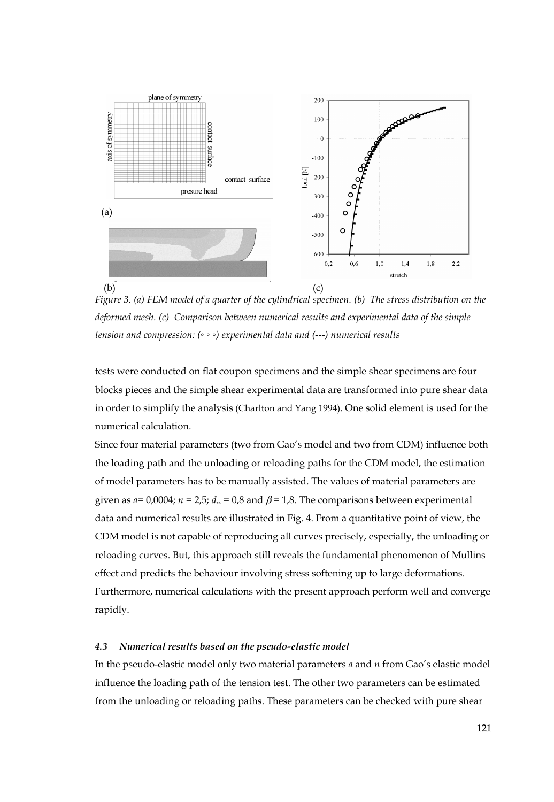

*Figure 3. (a) FEM model of a quarter of the cylindrical specimen. (b) The stress distribution on the deformed mesh. (c) Comparison between numerical results and experimental data of the simple tension and compression: (◦ ◦ ◦) experimental data and (---) numerical results*

tests were conducted on flat coupon specimens and the simple shear specimens are four blocks pieces and the simple shear experimental data are transformed into pure shear data in order to simplify the analysis (Charlton and Yang 1994). One solid element is used for the numerical calculation.

Since four material parameters (two from Gao's model and two from CDM) influence both the loading path and the unloading or reloading paths for the CDM model, the estimation of model parameters has to be manually assisted. The values of material parameters are given as  $a=0,0004$ ;  $n=2.5$ ;  $d_{\infty}=0.8$  and  $\beta=1.8$ . The comparisons between experimental data and numerical results are illustrated in Fig. 4. From a quantitative point of view, the CDM model is not capable of reproducing all curves precisely, especially, the unloading or reloading curves. But, this approach still reveals the fundamental phenomenon of Mullins effect and predicts the behaviour involving stress softening up to large deformations. Furthermore, numerical calculations with the present approach perform well and converge rapidly.

#### *4.3 Numerical results based on the pseudo-elastic model*

In the pseudo-elastic model only two material parameters *a* and *n* from Gao's elastic model influence the loading path of the tension test. The other two parameters can be estimated from the unloading or reloading paths. These parameters can be checked with pure shear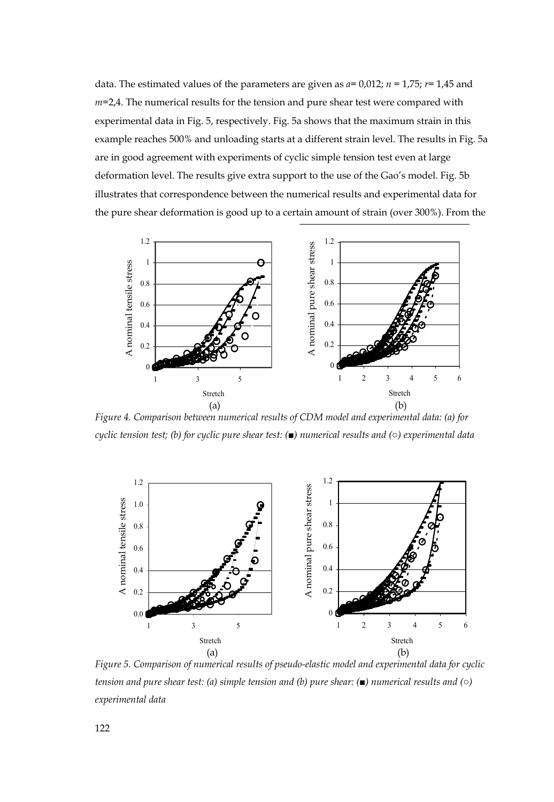data. The estimated values of the parameters are given as *a=* 0,012; *n* = 1,75; *r=* 1,45 and *m=*2,4. The numerical results for the tension and pure shear test were compared with experimental data in Fig. 5, respectively. Fig. 5a shows that the maximum strain in this example reaches 500% and unloading starts at a different strain level. The results in Fig. 5a are in good agreement with experiments of cyclic simple tension test even at large deformation level. The results give extra support to the use of the Gao's model. Fig. 5b illustrates that correspondence between the numerical results and experimental data for the pure shear deformation is good up to a certain amount of strain (over 300%). From the



*Figure 4. Comparison between numerical results of CDM model and experimental data: (a) for cyclic tension test; (b) for cyclic pure shear test: (■) numerical results and (○) experimental data* 



*Figure 5. Comparison of numerical results of pseudo-elastic model and experimental data for cyclic tension and pure shear test: (a) simple tension and (b) pure shear: (■) numerical results and (○)*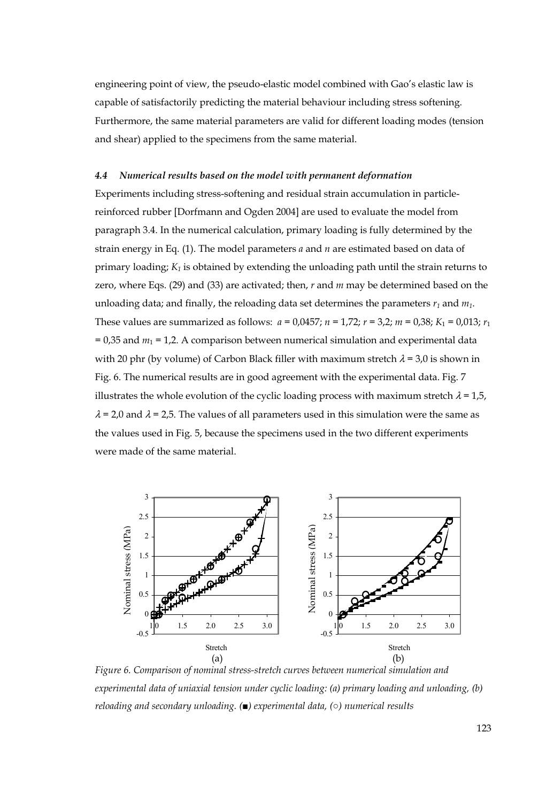engineering point of view, the pseudo-elastic model combined with Gao's elastic law is capable of satisfactorily predicting the material behaviour including stress softening. Furthermore, the same material parameters are valid for different loading modes (tension and shear) applied to the specimens from the same material.

#### *4.4 Numerical results based on the model with permanent deformation*

Experiments including stress-softening and residual strain accumulation in particlereinforced rubber [Dorfmann and Ogden 2004] are used to evaluate the model from paragraph 3.4. In the numerical calculation, primary loading is fully determined by the strain energy in Eq. (1). The model parameters *a* and *n* are estimated based on data of primary loading;  $K_1$  is obtained by extending the unloading path until the strain returns to zero, where Eqs. (29) and (33) are activated; then, *r* and *m* may be determined based on the unloading data; and finally, the reloading data set determines the parameters  $r_1$  and  $m_1$ . These values are summarized as follows:  $a = 0.0457$ ;  $n = 1.72$ ;  $r = 3.2$ ;  $m = 0.38$ ;  $K_1 = 0.013$ ;  $r_1$  $= 0.35$  and  $m_1 = 1.2$ . A comparison between numerical simulation and experimental data with 20 phr (by volume) of Carbon Black filler with maximum stretch  $\lambda = 3.0$  is shown in Fig. 6. The numerical results are in good agreement with the experimental data. Fig. 7 illustrates the whole evolution of the cyclic loading process with maximum stretch  $\lambda = 1.5$ ,  $\lambda$  = 2,0 and  $\lambda$  = 2,5. The values of all parameters used in this simulation were the same as the values used in Fig. 5, because the specimens used in the two different experiments were made of the same material.



*Figure 6. Comparison of nominal stress-stretch curves between numerical simulation and experimental data of uniaxial tension under cyclic loading: (a) primary loading and unloading, (b) reloading and secondary unloading. (■) experimental data, (○) numerical results*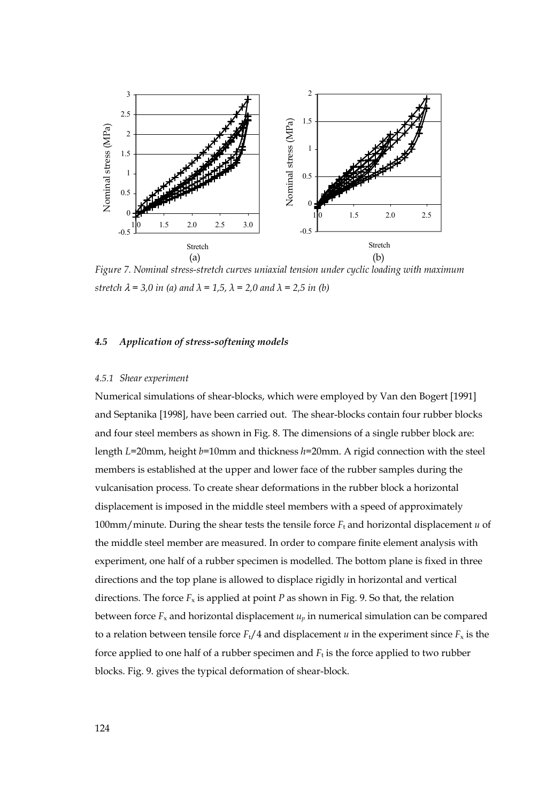

*Figure 7. Nominal stress-stretch curves uniaxial tension under cyclic loading with maximum stretch*  $\lambda = 3.0$  *in (a) and*  $\lambda = 1.5$ ,  $\lambda = 2.0$  *and*  $\lambda = 2.5$  *in (b)* 

#### *4.5 Application of stress-softening models*

#### *4.5.1 Shear experiment*

Numerical simulations of shear-blocks, which were employed by Van den Bogert [1991] and Septanika [1998], have been carried out. The shear-blocks contain four rubber blocks and four steel members as shown in Fig. 8. The dimensions of a single rubber block are: length *L*=20mm, height *b*=10mm and thickness *h*=20mm. A rigid connection with the steel members is established at the upper and lower face of the rubber samples during the vulcanisation process. To create shear deformations in the rubber block a horizontal displacement is imposed in the middle steel members with a speed of approximately 100mm/minute. During the shear tests the tensile force  $F_t$  and horizontal displacement  $u$  of the middle steel member are measured. In order to compare finite element analysis with experiment, one half of a rubber specimen is modelled. The bottom plane is fixed in three directions and the top plane is allowed to displace rigidly in horizontal and vertical directions. The force  $F_x$  is applied at point *P* as shown in Fig. 9. So that, the relation between force  $F_x$  and horizontal displacement  $u_p$  in numerical simulation can be compared to a relation between tensile force  $F_t/4$  and displacement *u* in the experiment since  $F_x$  is the force applied to one half of a rubber specimen and  $F_t$  is the force applied to two rubber blocks. Fig. 9. gives the typical deformation of shear-block.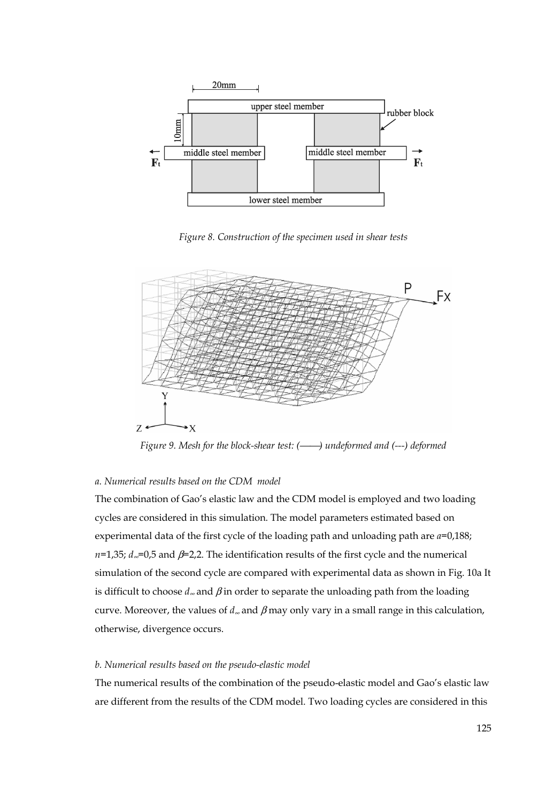

*Figure 8. Construction of the specimen used in shear tests* 



*Figure 9. Mesh for the block-shear test:* (- *) undeformed and (---) deformed* 

## *a. Numerical results based on the CDM model*

The combination of Gao's elastic law and the CDM model is employed and two loading cycles are considered in this simulation. The model parameters estimated based on experimental data of the first cycle of the loading path and unloading path are *a*=0,188; *n*=1,35; *d*<sub>∞</sub>=0,5 and β=2,2. The identification results of the first cycle and the numerical simulation of the second cycle are compared with experimental data as shown in Fig. 10a It is difficult to choose  $d_{\infty}$  and  $\beta$  in order to separate the unloading path from the loading curve. Moreover, the values of *d*∞ and β may only vary in a small range in this calculation, otherwise, divergence occurs.

#### *b. Numerical results based on the pseudo-elastic model*

The numerical results of the combination of the pseudo-elastic model and Gao's elastic law are different from the results of the CDM model. Two loading cycles are considered in this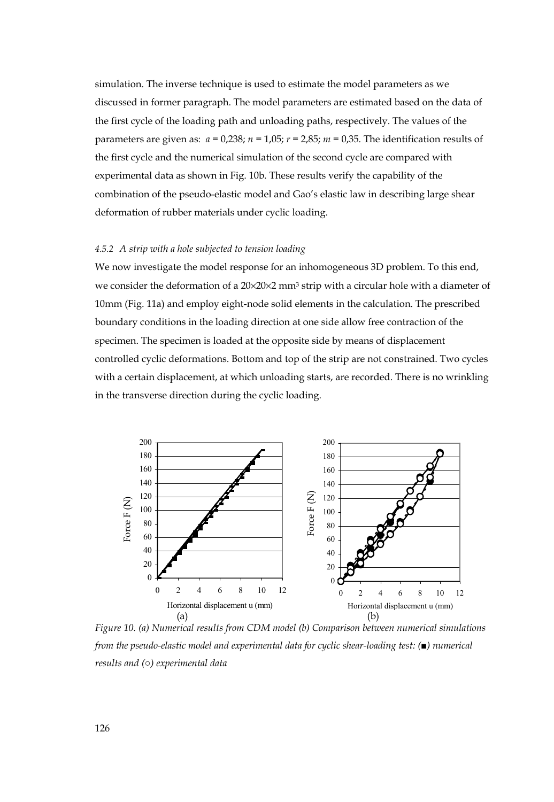simulation. The inverse technique is used to estimate the model parameters as we discussed in former paragraph. The model parameters are estimated based on the data of the first cycle of the loading path and unloading paths, respectively. The values of the parameters are given as: *a* = 0,238; *n* = 1,05; *r* = 2,85; *m* = 0,35. The identification results of the first cycle and the numerical simulation of the second cycle are compared with experimental data as shown in Fig. 10b. These results verify the capability of the combination of the pseudo-elastic model and Gao's elastic law in describing large shear deformation of rubber materials under cyclic loading.

#### *4.5.2 A strip with a hole subjected to tension loading*

We now investigate the model response for an inhomogeneous 3D problem. To this end, we consider the deformation of a 20×20×2 mm3 strip with a circular hole with a diameter of 10mm (Fig. 11a) and employ eight-node solid elements in the calculation. The prescribed boundary conditions in the loading direction at one side allow free contraction of the specimen. The specimen is loaded at the opposite side by means of displacement controlled cyclic deformations. Bottom and top of the strip are not constrained. Two cycles with a certain displacement, at which unloading starts, are recorded. There is no wrinkling in the transverse direction during the cyclic loading.



*Figure 10. (a) Numerical results from CDM model (b) Comparison between numerical simulations from the pseudo-elastic model and experimental data for cyclic shear-loading test: (■) numerical*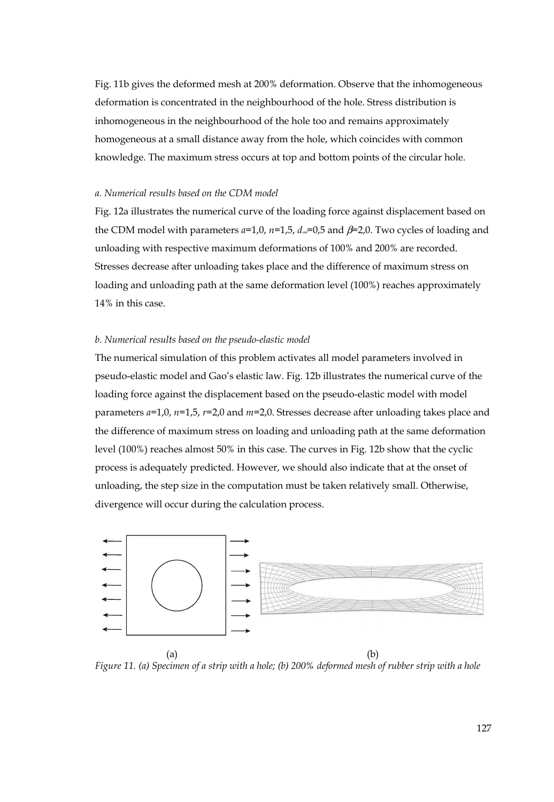Fig. 11b gives the deformed mesh at 200% deformation. Observe that the inhomogeneous deformation is concentrated in the neighbourhood of the hole. Stress distribution is inhomogeneous in the neighbourhood of the hole too and remains approximately homogeneous at a small distance away from the hole, which coincides with common knowledge. The maximum stress occurs at top and bottom points of the circular hole.

#### *a. Numerical results based on the CDM model*

Fig. 12a illustrates the numerical curve of the loading force against displacement based on the CDM model with parameters *a*=1,0, *n*=1,5, *d*∞=0,5 and β=2,0. Two cycles of loading and unloading with respective maximum deformations of 100% and 200% are recorded. Stresses decrease after unloading takes place and the difference of maximum stress on loading and unloading path at the same deformation level (100%) reaches approximately 14% in this case.

#### *b. Numerical results based on the pseudo-elastic model*

The numerical simulation of this problem activates all model parameters involved in pseudo-elastic model and Gao's elastic law. Fig. 12b illustrates the numerical curve of the loading force against the displacement based on the pseudo-elastic model with model parameters *a*=1,0, *n*=1,5, *r*=2,0 and *m*=2,0. Stresses decrease after unloading takes place and the difference of maximum stress on loading and unloading path at the same deformation level (100%) reaches almost 50% in this case. The curves in Fig. 12b show that the cyclic process is adequately predicted. However, we should also indicate that at the onset of unloading, the step size in the computation must be taken relatively small. Otherwise, divergence will occur during the calculation process.



 $(a)$  (b) *Figure 11. (a) Specimen of a strip with a hole; (b) 200% deformed mesh of rubber strip with a hole*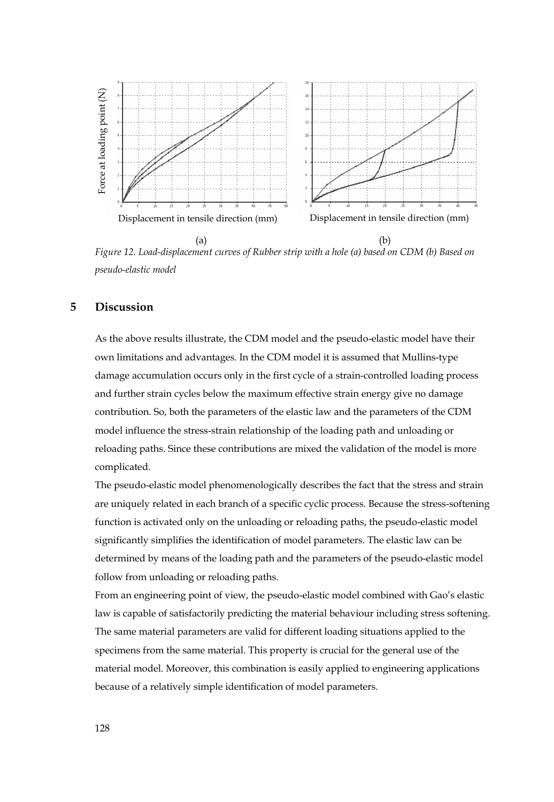

 $(a)$  (b) *Figure 12. Load-displacement curves of Rubber strip with a hole (a) based on CDM (b) Based on pseudo-elastic model* 

# **5 Discussion**

As the above results illustrate, the CDM model and the pseudo-elastic model have their own limitations and advantages. In the CDM model it is assumed that Mullins-type damage accumulation occurs only in the first cycle of a strain-controlled loading process and further strain cycles below the maximum effective strain energy give no damage contribution. So, both the parameters of the elastic law and the parameters of the CDM model influence the stress-strain relationship of the loading path and unloading or reloading paths. Since these contributions are mixed the validation of the model is more complicated. Because of a relation of a relation of a relation of model parameters. The same material of a relation of a relation of a relation of a relation of a relation of a relation of the because of a relation of the special of t

The pseudo-elastic model phenomenologically describes the fact that the stress and strain are uniquely related in each branch of a specific cyclic process. Because the stress-softening function is activated only on the unloading or reloading paths, the pseudo-elastic model significantly simplifies the identification of model parameters. The elastic law can be determined by means of the loading path and the parameters of the pseudo-elastic model follow from unloading or reloading paths.

From an engineering point of view, the pseudo-elastic model combined with Gao's elastic law is capable of satisfactorily predicting the material behaviour including stress softening. The same material parameters are valid for different loading situations applied to the specimens from the same material. This property is crucial for the general use of the material model. Moreover, this combination is easily applied to engineering applications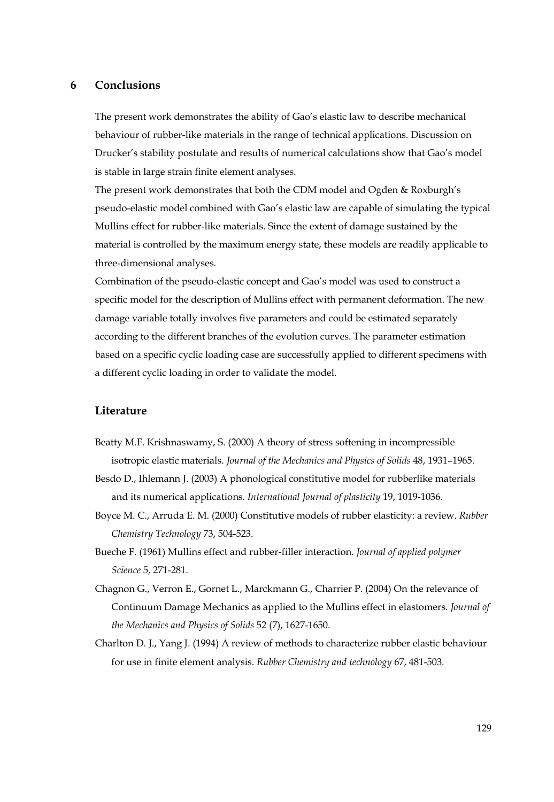## **6 Conclusions**

The present work demonstrates the ability of Gao's elastic law to describe mechanical behaviour of rubber-like materials in the range of technical applications. Discussion on Drucker's stability postulate and results of numerical calculations show that Gao's model is stable in large strain finite element analyses.

The present work demonstrates that both the CDM model and Ogden & Roxburgh's pseudo-elastic model combined with Gao's elastic law are capable of simulating the typical Mullins effect for rubber-like materials. Since the extent of damage sustained by the material is controlled by the maximum energy state, these models are readily applicable to three-dimensional analyses.

Combination of the pseudo-elastic concept and Gao's model was used to construct a specific model for the description of Mullins effect with permanent deformation. The new damage variable totally involves five parameters and could be estimated separately according to the different branches of the evolution curves. The parameter estimation based on a specific cyclic loading case are successfully applied to different specimens with a different cyclic loading in order to validate the model.

## **Literature**

- Beatty M.F. Krishnaswamy, S. (2000) A theory of stress softening in incompressible isotropic elastic materials. *Journal of the Mechanics and Physics of Solids* 48, 1931–1965.
- Besdo D., Ihlemann J. (2003) A phonological constitutive model for rubberlike materials and its numerical applications. *International Journal of plasticity* 19, 1019-1036.
- Boyce M. C., Arruda E. M. (2000) Constitutive models of rubber elasticity: a review. *Rubber Chemistry Technology* 73, 504-523.
- Bueche F. (1961) Mullins effect and rubber-filler interaction. *Journal of applied polymer Science* 5, 271-281.
- Chagnon G., Verron E., Gornet L., Marckmann G., Charrier P. (2004) On the relevance of Continuum Damage Mechanics as applied to the Mullins effect in elastomers. *Journal of the Mechanics and Physics of Solids* 52 (7), 1627-1650.
- Charlton D. J., Yang J. (1994) A review of methods to characterize rubber elastic behaviour for use in finite element analysis. *Rubber Chemistry and technology* 67, 481-503.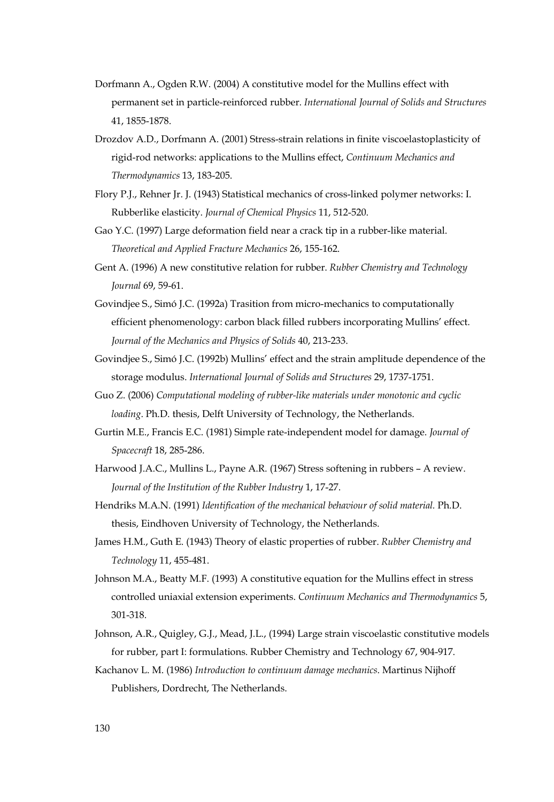- Dorfmann A., Ogden R.W. (2004) A constitutive model for the Mullins effect with permanent set in particle-reinforced rubber. *International Journal of Solids and Structures*  41, 1855-1878.
- Drozdov A.D., Dorfmann A. (2001) Stress-strain relations in finite viscoelastoplasticity of rigid-rod networks: applications to the Mullins effect, *Continuum Mechanics and Thermodynamics* 13, 183-205.
- Flory P.J., Rehner Jr. J. (1943) Statistical mechanics of cross-linked polymer networks: I. Rubberlike elasticity. *Journal of Chemical Physics* 11, 512-520.
- Gao Y.C. (1997) Large deformation field near a crack tip in a rubber-like material. *Theoretical and Applied Fracture Mechanics* 26, 155-162.
- Gent A. (1996) A new constitutive relation for rubber. *Rubber Chemistry and Technology Journal* 69, 59-61.
- Govindjee S., Simó J.C. (1992a) Trasition from micro-mechanics to computationally efficient phenomenology: carbon black filled rubbers incorporating Mullins' effect. *Journal of the Mechanics and Physics of Solids* 40, 213-233.
- Govindjee S., Simó J.C. (1992b) Mullins' effect and the strain amplitude dependence of the storage modulus. *International Journal of Solids and Structures* 29, 1737-1751.
- Guo Z. (2006) *Computational modeling of rubber-like materials under monotonic and cyclic loading*. Ph.D. thesis, Delft University of Technology, the Netherlands.
- Gurtin M.E., Francis E.C. (1981) Simple rate-independent model for damage. *Journal of Spacecraft* 18, 285-286.
- Harwood J.A.C., Mullins L., Payne A.R. (1967) Stress softening in rubbers A review. *Journal of the Institution of the Rubber Industry* 1, 17-27.
- Hendriks M.A.N. (1991) *Identification of the mechanical behaviour of solid material.* Ph.D. thesis, Eindhoven University of Technology, the Netherlands.
- James H.M., Guth E. (1943) Theory of elastic properties of rubber. *Rubber Chemistry and Technology* 11, 455-481.
- Johnson M.A., Beatty M.F. (1993) A constitutive equation for the Mullins effect in stress controlled uniaxial extension experiments. *Continuum Mechanics and Thermodynamics* 5, 301-318.
- Johnson, A.R., Quigley, G.J., Mead, J.L., (1994) Large strain viscoelastic constitutive models for rubber, part I: formulations. Rubber Chemistry and Technology 67, 904-917.
- Kachanov L. M. (1986) *Introduction to continuum damage mechanics*. Martinus Nijhoff Publishers, Dordrecht, The Netherlands.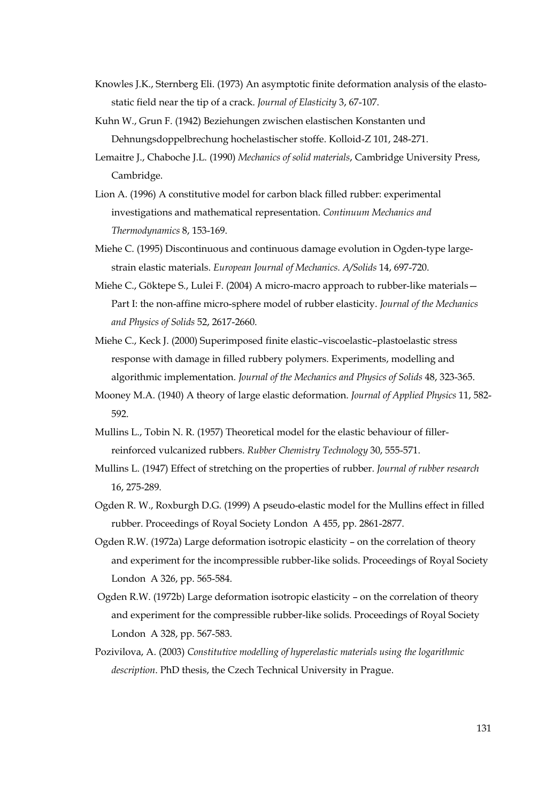- Knowles J.K., Sternberg Eli. (1973) An asymptotic finite deformation analysis of the elastostatic field near the tip of a crack. *Journal of Elasticity* 3, 67-107.
- Kuhn W., Grun F. (1942) Beziehungen zwischen elastischen Konstanten und Dehnungsdoppelbrechung hochelastischer stoffe. Kolloid-Z 101, 248-271.
- Lemaitre J., Chaboche J.L. (1990) *Mechanics of solid materials*, Cambridge University Press, Cambridge.
- Lion A. (1996) A constitutive model for carbon black filled rubber: experimental investigations and mathematical representation. *Continuum Mechanics and Thermodynamics* 8, 153-169.
- Miehe C. (1995) Discontinuous and continuous damage evolution in Ogden-type largestrain elastic materials. *European Journal of Mechanics. A/Solids* 14, 697-720.
- Miehe C., Göktepe S., Lulei F. (2004) A micro-macro approach to rubber-like materials— Part I: the non-affine micro-sphere model of rubber elasticity. *Journal of the Mechanics and Physics of Solids* 52, 2617-2660.
- Miehe C., Keck J. (2000) Superimposed finite elastic–viscoelastic–plastoelastic stress response with damage in filled rubbery polymers. Experiments, modelling and algorithmic implementation. *Journal of the Mechanics and Physics of Solids* 48, 323-365.
- Mooney M.A. (1940) A theory of large elastic deformation. *Journal of Applied Physics* 11, 582- 592.
- Mullins L., Tobin N. R. (1957) Theoretical model for the elastic behaviour of fillerreinforced vulcanized rubbers. *Rubber Chemistry Technology* 30, 555-571.
- Mullins L. (1947) Effect of stretching on the properties of rubber. *Journal of rubber research* 16, 275-289.
- Ogden R. W., Roxburgh D.G. (1999) A pseudo-elastic model for the Mullins effect in filled rubber. Proceedings of Royal Society London A 455, pp. 2861-2877.
- Ogden R.W. (1972a) Large deformation isotropic elasticity on the correlation of theory and experiment for the incompressible rubber-like solids. Proceedings of Royal Society London A 326, pp. 565-584.
- Ogden R.W. (1972b) Large deformation isotropic elasticity on the correlation of theory and experiment for the compressible rubber-like solids. Proceedings of Royal Society London A 328, pp. 567-583.
- Pozivilova, A. (2003) *Constitutive modelling of hyperelastic materials using the logarithmic description*. PhD thesis, the Czech Technical University in Prague.